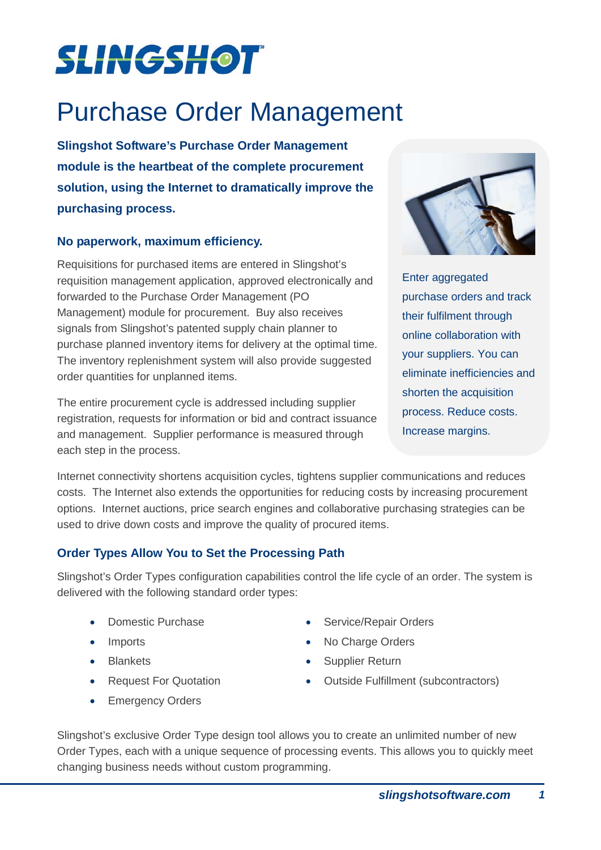# **SLINGSHOT**

# Purchase Order Management

**Slingshot Software's Purchase Order Management module is the heartbeat of the complete procurement solution, using the Internet to dramatically improve the purchasing process.**

## **No paperwork, maximum efficiency.**

Requisitions for purchased items are entered in Slingshot's requisition management application, approved electronically and forwarded to the Purchase Order Management (PO Management) module for procurement. Buy also receives signals from Slingshot's patented supply chain planner to purchase planned inventory items for delivery at the optimal time. The inventory replenishment system will also provide suggested order quantities for unplanned items.

The entire procurement cycle is addressed including supplier registration, requests for information or bid and contract issuance and management. Supplier performance is measured through each step in the process.



Enter aggregated purchase orders and track their fulfilment through online collaboration with your suppliers. You can eliminate inefficiencies and shorten the acquisition process. Reduce costs. Increase margins.

Internet connectivity shortens acquisition cycles, tightens supplier communications and reduces costs. The Internet also extends the opportunities for reducing costs by increasing procurement options. Internet auctions, price search engines and collaborative purchasing strategies can be used to drive down costs and improve the quality of procured items.

# **Order Types Allow You to Set the Processing Path**

Slingshot's Order Types configuration capabilities control the life cycle of an order. The system is delivered with the following standard order types:

- 
- 
- 
- 
- Emergency Orders
- Domestic Purchase Service/Repair Orders
- Imports No Charge Orders
- Blankets Supplier Return
- Request For Quotation Outside Fulfillment (subcontractors)

Slingshot's exclusive Order Type design tool allows you to create an unlimited number of new Order Types, each with a unique sequence of processing events. This allows you to quickly meet changing business needs without custom programming.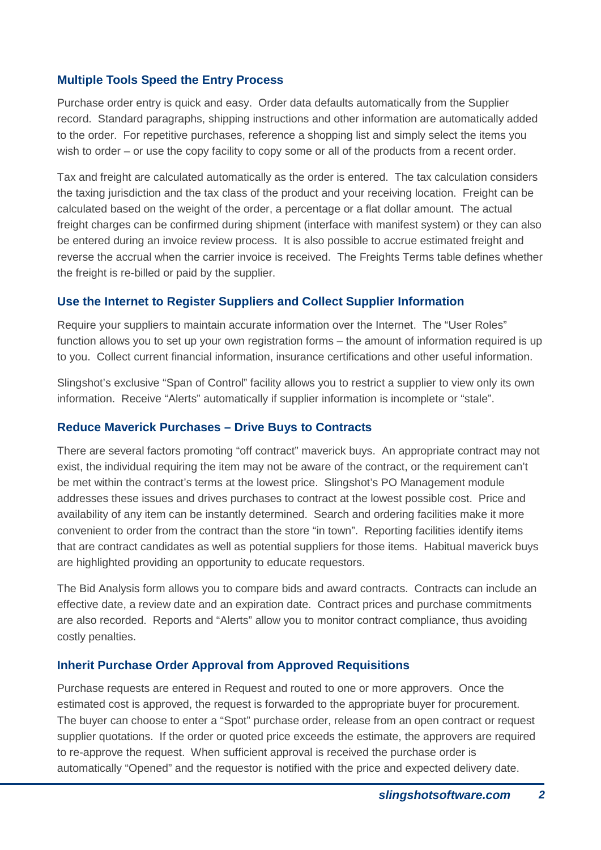## **Multiple Tools Speed the Entry Process**

Purchase order entry is quick and easy. Order data defaults automatically from the Supplier record. Standard paragraphs, shipping instructions and other information are automatically added to the order. For repetitive purchases, reference a shopping list and simply select the items you wish to order – or use the copy facility to copy some or all of the products from a recent order.

Tax and freight are calculated automatically as the order is entered. The tax calculation considers the taxing jurisdiction and the tax class of the product and your receiving location. Freight can be calculated based on the weight of the order, a percentage or a flat dollar amount. The actual freight charges can be confirmed during shipment (interface with manifest system) or they can also be entered during an invoice review process. It is also possible to accrue estimated freight and reverse the accrual when the carrier invoice is received. The Freights Terms table defines whether the freight is re-billed or paid by the supplier.

#### **Use the Internet to Register Suppliers and Collect Supplier Information**

Require your suppliers to maintain accurate information over the Internet. The "User Roles" function allows you to set up your own registration forms – the amount of information required is up to you. Collect current financial information, insurance certifications and other useful information.

Slingshot's exclusive "Span of Control" facility allows you to restrict a supplier to view only its own information. Receive "Alerts" automatically if supplier information is incomplete or "stale".

#### **Reduce Maverick Purchases – Drive Buys to Contracts**

There are several factors promoting "off contract" maverick buys. An appropriate contract may not exist, the individual requiring the item may not be aware of the contract, or the requirement can't be met within the contract's terms at the lowest price. Slingshot's PO Management module addresses these issues and drives purchases to contract at the lowest possible cost. Price and availability of any item can be instantly determined. Search and ordering facilities make it more convenient to order from the contract than the store "in town". Reporting facilities identify items that are contract candidates as well as potential suppliers for those items. Habitual maverick buys are highlighted providing an opportunity to educate requestors.

The Bid Analysis form allows you to compare bids and award contracts. Contracts can include an effective date, a review date and an expiration date. Contract prices and purchase commitments are also recorded. Reports and "Alerts" allow you to monitor contract compliance, thus avoiding costly penalties.

#### **Inherit Purchase Order Approval from Approved Requisitions**

Purchase requests are entered in Request and routed to one or more approvers. Once the estimated cost is approved, the request is forwarded to the appropriate buyer for procurement. The buyer can choose to enter a "Spot" purchase order, release from an open contract or request supplier quotations. If the order or quoted price exceeds the estimate, the approvers are required to re-approve the request. When sufficient approval is received the purchase order is automatically "Opened" and the requestor is notified with the price and expected delivery date.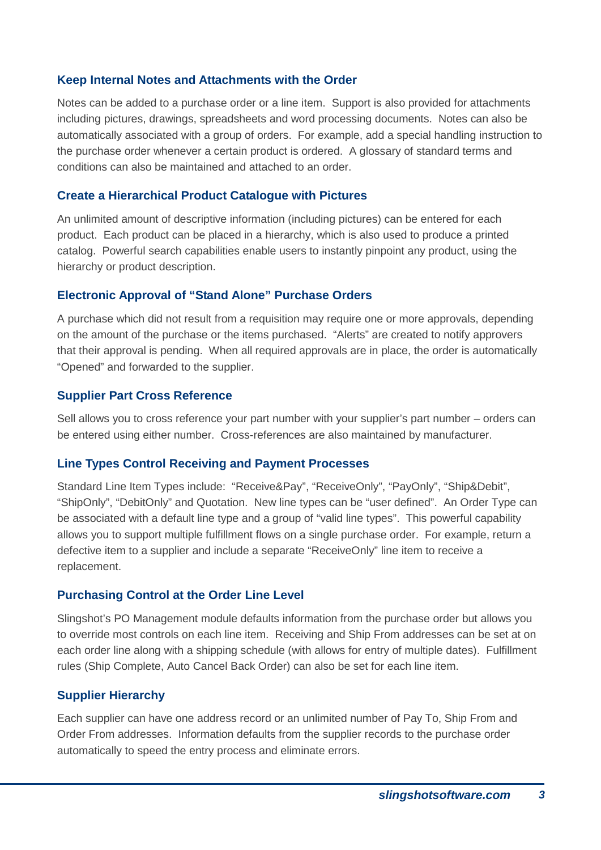#### **Keep Internal Notes and Attachments with the Order**

Notes can be added to a purchase order or a line item. Support is also provided for attachments including pictures, drawings, spreadsheets and word processing documents. Notes can also be automatically associated with a group of orders. For example, add a special handling instruction to the purchase order whenever a certain product is ordered. A glossary of standard terms and conditions can also be maintained and attached to an order.

#### **Create a Hierarchical Product Catalogue with Pictures**

An unlimited amount of descriptive information (including pictures) can be entered for each product. Each product can be placed in a hierarchy, which is also used to produce a printed catalog. Powerful search capabilities enable users to instantly pinpoint any product, using the hierarchy or product description.

#### **Electronic Approval of "Stand Alone" Purchase Orders**

A purchase which did not result from a requisition may require one or more approvals, depending on the amount of the purchase or the items purchased. "Alerts" are created to notify approvers that their approval is pending. When all required approvals are in place, the order is automatically "Opened" and forwarded to the supplier.

#### **Supplier Part Cross Reference**

Sell allows you to cross reference your part number with your supplier's part number – orders can be entered using either number. Cross-references are also maintained by manufacturer.

## **Line Types Control Receiving and Payment Processes**

Standard Line Item Types include: "Receive&Pay", "ReceiveOnly", "PayOnly", "Ship&Debit", "ShipOnly", "DebitOnly" and Quotation. New line types can be "user defined". An Order Type can be associated with a default line type and a group of "valid line types". This powerful capability allows you to support multiple fulfillment flows on a single purchase order. For example, return a defective item to a supplier and include a separate "ReceiveOnly" line item to receive a replacement.

## **Purchasing Control at the Order Line Level**

Slingshot's PO Management module defaults information from the purchase order but allows you to override most controls on each line item. Receiving and Ship From addresses can be set at on each order line along with a shipping schedule (with allows for entry of multiple dates). Fulfillment rules (Ship Complete, Auto Cancel Back Order) can also be set for each line item.

## **Supplier Hierarchy**

Each supplier can have one address record or an unlimited number of Pay To, Ship From and Order From addresses. Information defaults from the supplier records to the purchase order automatically to speed the entry process and eliminate errors.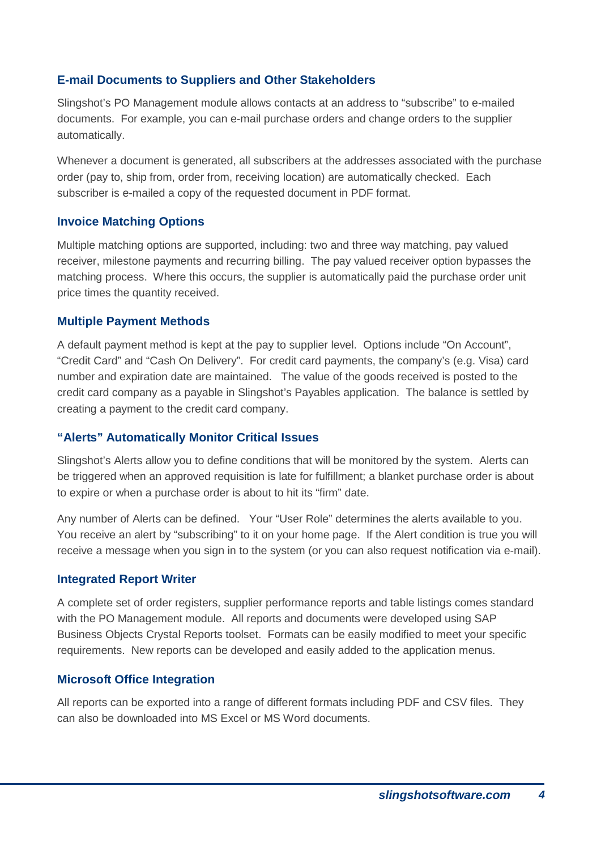## **E-mail Documents to Suppliers and Other Stakeholders**

Slingshot's PO Management module allows contacts at an address to "subscribe" to e-mailed documents. For example, you can e-mail purchase orders and change orders to the supplier automatically.

Whenever a document is generated, all subscribers at the addresses associated with the purchase order (pay to, ship from, order from, receiving location) are automatically checked. Each subscriber is e-mailed a copy of the requested document in PDF format.

## **Invoice Matching Options**

Multiple matching options are supported, including: two and three way matching, pay valued receiver, milestone payments and recurring billing. The pay valued receiver option bypasses the matching process. Where this occurs, the supplier is automatically paid the purchase order unit price times the quantity received.

#### **Multiple Payment Methods**

A default payment method is kept at the pay to supplier level. Options include "On Account", "Credit Card" and "Cash On Delivery". For credit card payments, the company's (e.g. Visa) card number and expiration date are maintained. The value of the goods received is posted to the credit card company as a payable in Slingshot's Payables application. The balance is settled by creating a payment to the credit card company.

## **"Alerts" Automatically Monitor Critical Issues**

Slingshot's Alerts allow you to define conditions that will be monitored by the system. Alerts can be triggered when an approved requisition is late for fulfillment; a blanket purchase order is about to expire or when a purchase order is about to hit its "firm" date.

Any number of Alerts can be defined. Your "User Role" determines the alerts available to you. You receive an alert by "subscribing" to it on your home page. If the Alert condition is true you will receive a message when you sign in to the system (or you can also request notification via e-mail).

#### **Integrated Report Writer**

A complete set of order registers, supplier performance reports and table listings comes standard with the PO Management module. All reports and documents were developed using SAP Business Objects Crystal Reports toolset. Formats can be easily modified to meet your specific requirements. New reports can be developed and easily added to the application menus.

## **Microsoft Office Integration**

All reports can be exported into a range of different formats including PDF and CSV files. They can also be downloaded into MS Excel or MS Word documents.